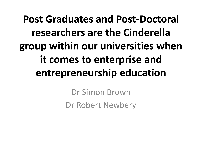### **Post Graduates and Post-Doctoral researchers are the Cinderella group within our universities when it comes to enterprise and entrepreneurship education**

Dr Simon Brown Dr Robert Newbery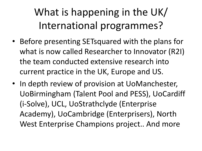### What is happening in the UK/ International programmes?

- Before presenting SETsquared with the plans for what is now called Researcher to Innovator (R2I) the team conducted extensive research into current practice in the UK, Europe and US.
- In depth review of provision at UoManchester, UoBirmingham (Talent Pool and PESS), UoCardiff (i-Solve), UCL, UoStrathclyde (Enterprise Academy), UoCambridge (Enterprisers), North West Enterprise Champions project.. And more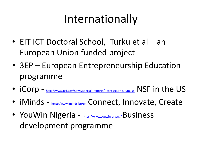### Internationally

- EIT ICT Doctoral School, Turku et al an European Union funded project
- 3EP European Entrepreneurship Education programme
- iCorp [http://www.nsf.gov/news/special\\_reports/i-corps/curriculum.jsp](http://www.nsf.gov/news/special_reports/i-corps/curriculum.jsp) NSF in the US
- iMinds <http://www.iminds.be/en> Connect, Innovate, Create
- YouWin Nigeria <https://www.youwin.org.ng/>Business development programme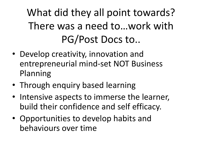What did they all point towards? There was a need to…work with PG/Post Docs to..

- Develop creativity, innovation and entrepreneurial mind-set NOT Business Planning
- Through enquiry based learning
- Intensive aspects to immerse the learner, build their confidence and self efficacy.
- Opportunities to develop habits and behaviours over time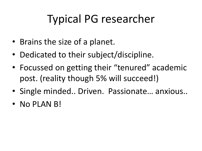# Typical PG researcher

- Brains the size of a planet.
- Dedicated to their subject/discipline.
- Focussed on getting their "tenured" academic post. (reality though 5% will succeed!)
- Single minded.. Driven. Passionate… anxious..
- No PLAN B!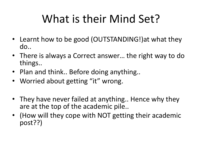# What is their Mind Set?

- Learnt how to be good (OUTSTANDING!)at what they do..
- There is always a Correct answer… the right way to do things..
- Plan and think.. Before doing anything..
- Worried about getting "it" wrong.
- They have never failed at anything.. Hence why they are at the top of the academic pile..
- (How will they cope with NOT getting their academic post??)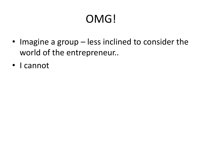# OMG!

- Imagine a group less inclined to consider the world of the entrepreneur..
- I cannot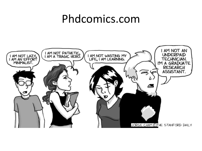### Phdcomics.com

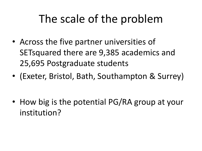### The scale of the problem

- Across the five partner universities of SETsquared there are 9,385 academics and 25,695 Postgraduate students
- (Exeter, Bristol, Bath, Southampton & Surrey)

• How big is the potential PG/RA group at your institution?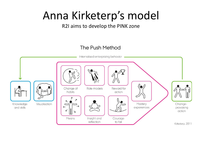### Anna Kirketerp's model

#### R2I aims to develop the PINK zone

#### The Push Method

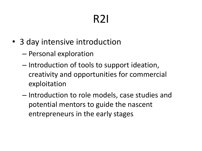## R2I

- 3 day intensive introduction
	- Personal exploration
	- Introduction of tools to support ideation, creativity and opportunities for commercial exploitation
	- Introduction to role models, case studies and potential mentors to guide the nascent entrepreneurs in the early stages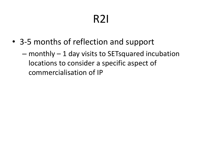# R2I

- 3-5 months of reflection and support
	- monthly 1 day visits to SETsquared incubation locations to consider a specific aspect of commercialisation of IP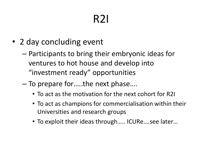# R2I

- 2 day concluding event
	- Participants to bring their embryonic ideas for ventures to hot house and develop into "investment ready" opportunities
	- To prepare for…..the next phase….
		- To act as the motivation for the next cohort for R2I
		- To act as champions for commercialisation within their Universities and research groups
		- To exploit their ideas through….. ICURe….see later…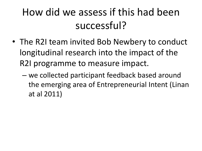### How did we assess if this had been successful?

- The R2I team invited Bob Newbery to conduct longitudinal research into the impact of the R2I programme to measure impact.
	- we collected participant feedback based around the emerging area of Entrepreneurial Intent (Linan at al 2011)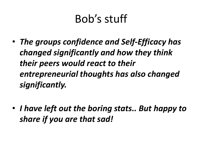### Bob's stuff

- *The groups confidence and Self-Efficacy has changed significantly and how they think their peers would react to their entrepreneurial thoughts has also changed significantly.*
- *I have left out the boring stats.. But happy to share if you are that sad!*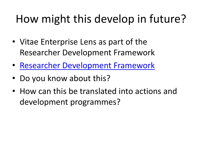# How might this develop in future?

- Vitae Enterprise Lens as part of the Researcher Development Framework
- [Researcher Development Framework](https://www.vitae.ac.uk/vitae-publications/rdf-related/introducing-the-vitae-researcher-development-framework-rdf-to-employers-2011.pdf)
- Do you know about this?
- How can this be translated into actions and development programmes?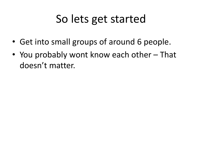## So lets get started

- Get into small groups of around 6 people.
- You probably wont know each other That doesn't matter.